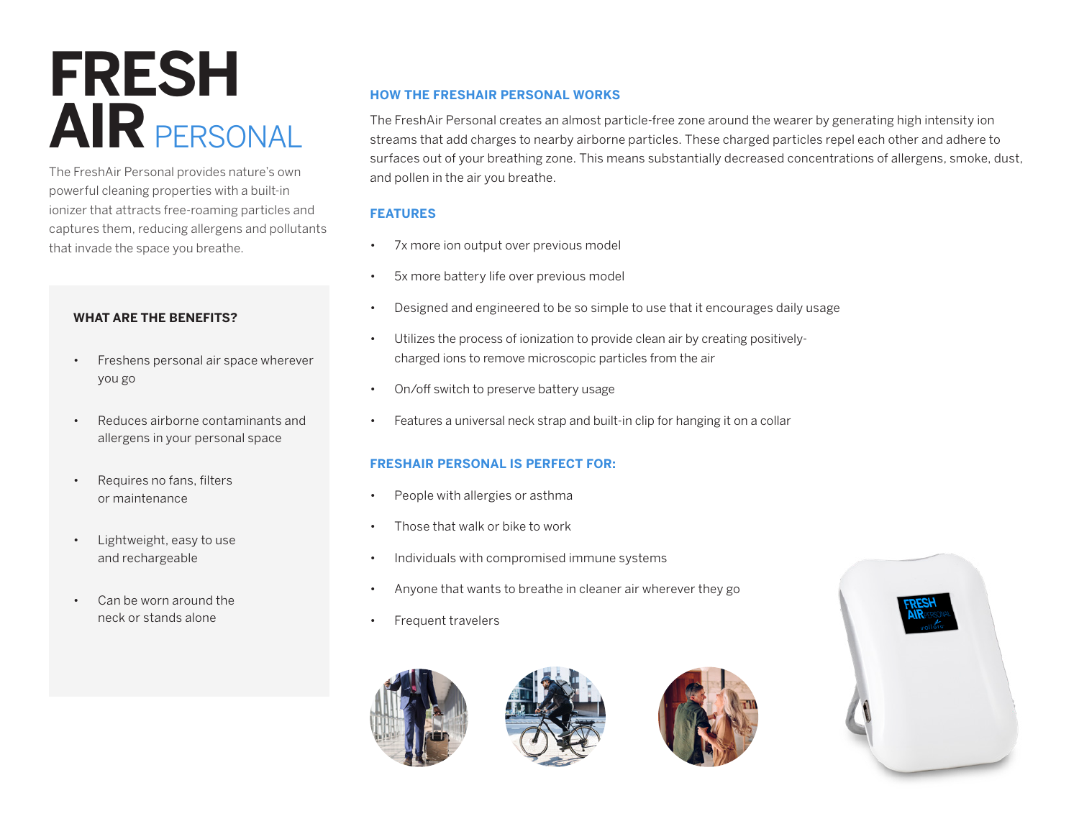# **FRESH AIR** PERSONAL

The FreshAir Personal provides nature's own powerful cleaning properties with a built-in ionizer that attracts free-roaming particles and captures them, reducing allergens and pollutants that invade the space you breathe.

### **WHAT ARE THE BENEFITS?**

- Freshens personal air space wherever you go
- Reduces airborne contaminants and allergens in your personal space
- Requires no fans, filters or maintenance
- Lightweight, easy to use and rechargeable
- Can be worn around the neck or stands alone

# **HOW THE FRESHAIR PERSONAL WORKS**

The FreshAir Personal creates an almost particle-free zone around the wearer by generating high intensity ion streams that add charges to nearby airborne particles. These charged particles repel each other and adhere to surfaces out of your breathing zone. This means substantially decreased concentrations of allergens, smoke, dust, and pollen in the air you breathe.

### **FEATURES**

- 7x more ion output over previous model
- 5x more battery life over previous model
- Designed and engineered to be so simple to use that it encourages daily usage
- Utilizes the process of ionization to provide clean air by creating positivelycharged ions to remove microscopic particles from the air
- On/off switch to preserve battery usage
- Features a universal neck strap and built-in clip for hanging it on a collar

#### **FRESHAIR PERSONAL IS PERFECT FOR:**

- People with allergies or asthma
- Those that walk or bike to work
- Individuals with compromised immune systems
- Anyone that wants to breathe in cleaner air wherever they go
- Frequent travelers